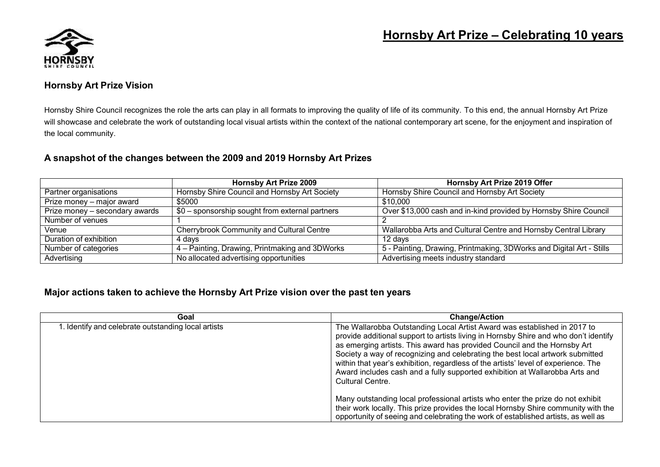

## **Hornsby Art Prize – Celebrating 10 years**

### **Hornsby Art Prize Vision**

Hornsby Shire Council recognizes the role the arts can play in all formats to improving the quality of life of its community. To this end, the annual Hornsby Art Prize will showcase and celebrate the work of outstanding local visual artists within the context of the national contemporary art scene, for the enjoyment and inspiration of the local community.

### **A snapshot of the changes between the 2009 and 2019 Hornsby Art Prizes**

|                                | <b>Hornsby Art Prize 2009</b>                    | Hornsby Art Prize 2019 Offer                                         |
|--------------------------------|--------------------------------------------------|----------------------------------------------------------------------|
| Partner organisations          | Hornsby Shire Council and Hornsby Art Society    | Hornsby Shire Council and Hornsby Art Society                        |
| Prize money - major award      | \$5000                                           | \$10,000                                                             |
| Prize money - secondary awards | $$0$ – sponsorship sought from external partners | Over \$13,000 cash and in-kind provided by Hornsby Shire Council     |
| Number of venues               |                                                  |                                                                      |
| Venue                          | Cherrybrook Community and Cultural Centre        | Wallarobba Arts and Cultural Centre and Hornsby Central Library      |
| Duration of exhibition         | 4 davs                                           | 12 davs                                                              |
| Number of categories           | 4 – Painting, Drawing, Printmaking and 3DWorks   | 5 - Painting, Drawing, Printmaking, 3DWorks and Digital Art - Stills |
| Advertising                    | No allocated advertising opportunities           | Advertising meets industry standard                                  |

#### **Major actions taken to achieve the Hornsby Art Prize vision over the past ten years**

| Goal                                               | <b>Change/Action</b>                                                                                                                                                                                                                                                                                                                                                                                                                                                                                                   |
|----------------------------------------------------|------------------------------------------------------------------------------------------------------------------------------------------------------------------------------------------------------------------------------------------------------------------------------------------------------------------------------------------------------------------------------------------------------------------------------------------------------------------------------------------------------------------------|
| . Identify and celebrate outstanding local artists | The Wallarobba Outstanding Local Artist Award was established in 2017 to<br>provide additional support to artists living in Hornsby Shire and who don't identify<br>as emerging artists. This award has provided Council and the Hornsby Art<br>Society a way of recognizing and celebrating the best local artwork submitted<br>within that year's exhibition, regardless of the artists' level of experience. The<br>Award includes cash and a fully supported exhibition at Wallarobba Arts and<br>Cultural Centre. |
|                                                    | Many outstanding local professional artists who enter the prize do not exhibit<br>their work locally. This prize provides the local Hornsby Shire community with the<br>opportunity of seeing and celebrating the work of established artists, as well as                                                                                                                                                                                                                                                              |